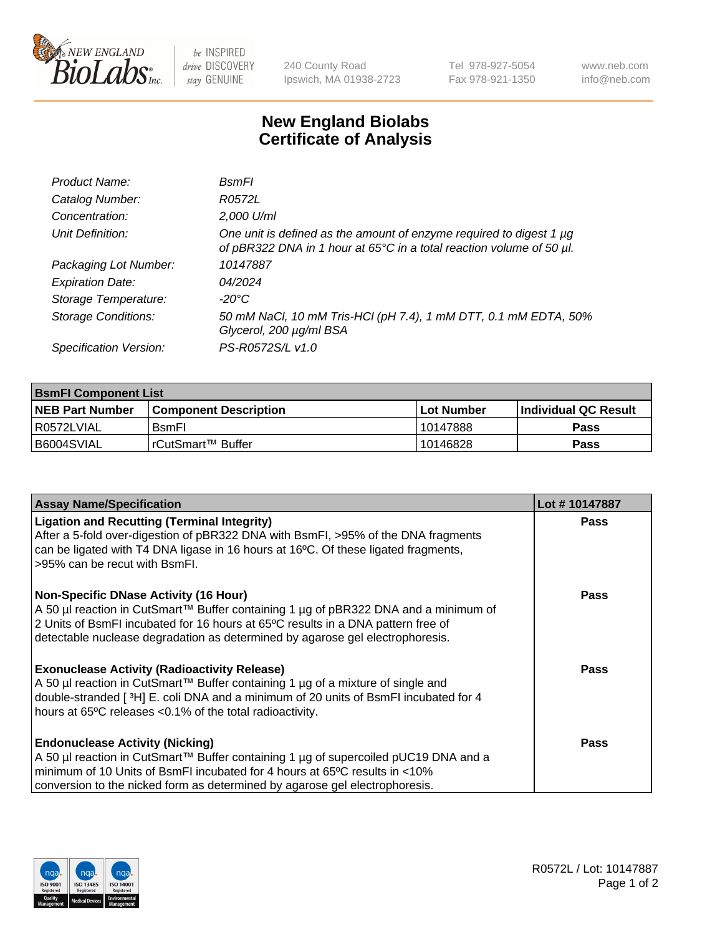

 $be$  INSPIRED drive DISCOVERY stay GENUINE

240 County Road Ipswich, MA 01938-2723 Tel 978-927-5054 Fax 978-921-1350 www.neb.com info@neb.com

## **New England Biolabs Certificate of Analysis**

| Product Name:              | BsmFl                                                                                                                                       |
|----------------------------|---------------------------------------------------------------------------------------------------------------------------------------------|
| Catalog Number:            | R0572L                                                                                                                                      |
| Concentration:             | 2,000 U/ml                                                                                                                                  |
| Unit Definition:           | One unit is defined as the amount of enzyme required to digest 1 µg<br>of pBR322 DNA in 1 hour at 65°C in a total reaction volume of 50 µl. |
| Packaging Lot Number:      | 10147887                                                                                                                                    |
| <b>Expiration Date:</b>    | 04/2024                                                                                                                                     |
| Storage Temperature:       | -20°C                                                                                                                                       |
| <b>Storage Conditions:</b> | 50 mM NaCl, 10 mM Tris-HCl (pH 7.4), 1 mM DTT, 0.1 mM EDTA, 50%<br>Glycerol, 200 µg/ml BSA                                                  |
| Specification Version:     | PS-R0572S/L v1.0                                                                                                                            |

| <b>BsmFI Component List</b> |                         |              |                             |  |  |
|-----------------------------|-------------------------|--------------|-----------------------------|--|--|
| <b>NEB Part Number</b>      | l Component Description | l Lot Number | <b>Individual QC Result</b> |  |  |
| I R0572LVIAL                | <b>B</b> smFI           | 10147888     | Pass                        |  |  |
| B6004SVIAL                  | l rCutSmart™ Buffer_    | 10146828     | Pass                        |  |  |

| <b>Assay Name/Specification</b>                                                                                                                                                                                                                                                                          | Lot #10147887 |
|----------------------------------------------------------------------------------------------------------------------------------------------------------------------------------------------------------------------------------------------------------------------------------------------------------|---------------|
| <b>Ligation and Recutting (Terminal Integrity)</b><br>After a 5-fold over-digestion of pBR322 DNA with BsmFI, >95% of the DNA fragments<br>can be ligated with T4 DNA ligase in 16 hours at 16°C. Of these ligated fragments,<br>>95% can be recut with BsmFI.                                           | <b>Pass</b>   |
| <b>Non-Specific DNase Activity (16 Hour)</b><br>A 50 µl reaction in CutSmart™ Buffer containing 1 µg of pBR322 DNA and a minimum of<br>2 Units of BsmFI incubated for 16 hours at 65°C results in a DNA pattern free of<br>detectable nuclease degradation as determined by agarose gel electrophoresis. | Pass          |
| <b>Exonuclease Activity (Radioactivity Release)</b><br>A 50 µl reaction in CutSmart™ Buffer containing 1 µg of a mixture of single and<br>double-stranded [3H] E. coli DNA and a minimum of 20 units of BsmFI incubated for 4<br>hours at 65°C releases <0.1% of the total radioactivity.                | Pass          |
| <b>Endonuclease Activity (Nicking)</b><br>A 50 µl reaction in CutSmart™ Buffer containing 1 µg of supercoiled pUC19 DNA and a<br>minimum of 10 Units of BsmFI incubated for 4 hours at 65 <sup>o</sup> C results in <10%<br>conversion to the nicked form as determined by agarose gel electrophoresis.  | Pass          |